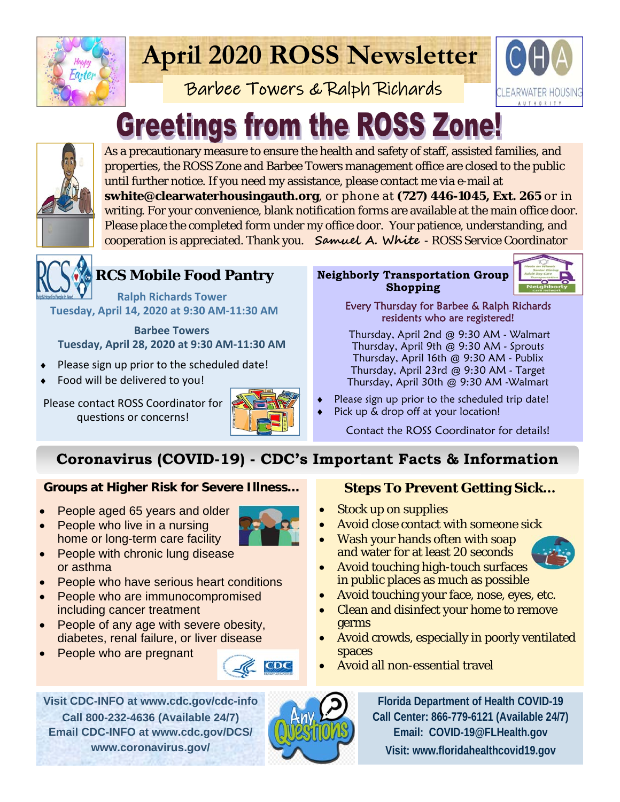

## **April 2020 ROSS Newsletter**

Barbee Towers & Ralph Richards



# **Greetings from the ROSS Zone!**



As a precautionary measure to ensure the health and safety of staff, assisted families, and properties, the ROSS Zone and Barbee Towers management office are closed to the public until further notice. If you need my assistance, please contact me via e-mail at **swhite@clearwaterhousingauth.org**, or phone at **(727) 446-1045, Ext. 265** or in

writing. For your convenience, blank notification forms are available at the main office door. Please place the completed form under my office door. Your patience, understanding, and cooperation is appreciated. Thank you. **Samuel A. White** - ROSS Service Coordinator



### **RCS Mobile Food Pantry**

 **Ralph Richards Tower Tuesday, April 14, 2020 at 9:30 AM‐11:30 AM** 

**Barbee Towers Tuesday, April 28, 2020 at 9:30 AM‐11:30 AM** 

- Please sign up prior to the scheduled date!
- Food will be delivered to you!

Please contact ROSS Coordinator for questions or concerns!



#### **Neighborly Transportation Group Shopping**



Every Thursday for Barbee & Ralph Richards residents who are registered!

 Thursday, April 2nd @ 9:30 AM - Walmart Thursday, April 9th @ 9:30 AM - Sprouts Thursday, April 16th @ 9:30 AM - Publix Thursday, April 23rd @ 9:30 AM - Target Thursday, April 30th @ 9:30 AM -Walmart

- Please sign up prior to the scheduled trip date!
- Pick up & drop off at your location!

Contact the ROSS Coordinator for details!

## **Coronavirus (COVID-19) - CDC's Important Facts & Information**

#### **Groups at Higher Risk for Severe Illness…**

- People aged 65 years and older
- People who live in a nursing home or long-term care facility
- People with chronic lung disease or asthma
- People who have serious heart conditions
- People who are immunocompromised including cancer treatment
- People of any age with severe obesity, diabetes, renal failure, or liver disease
- People who are pregnant



7DC

#### **Steps To Prevent Getting Sick...**

- Stock up on supplies
- Avoid close contact with someone sick
- Wash your hands often with soap and water for at least 20 seconds



- Avoid touching high-touch surfaces in public places as much as possible
- Avoid touching your face, nose, eyes, etc.
- Clean and disinfect your home to remove germs
- Avoid crowds, especially in poorly ventilated spaces
- Avoid all non-essential travel

**Visit CDC-INFO at www.cdc.gov/cdc-info Call 800-232-4636 (Available 24/7) Email CDC-INFO at www.cdc.gov/DCS/ www.coronavirus.gov/** 



**Florida Department of Health COVID-19 Call Center: 866-779-6121 (Available 24/7) Email: COVID-19@FLHealth.gov Visit: www.floridahealthcovid19.gov**